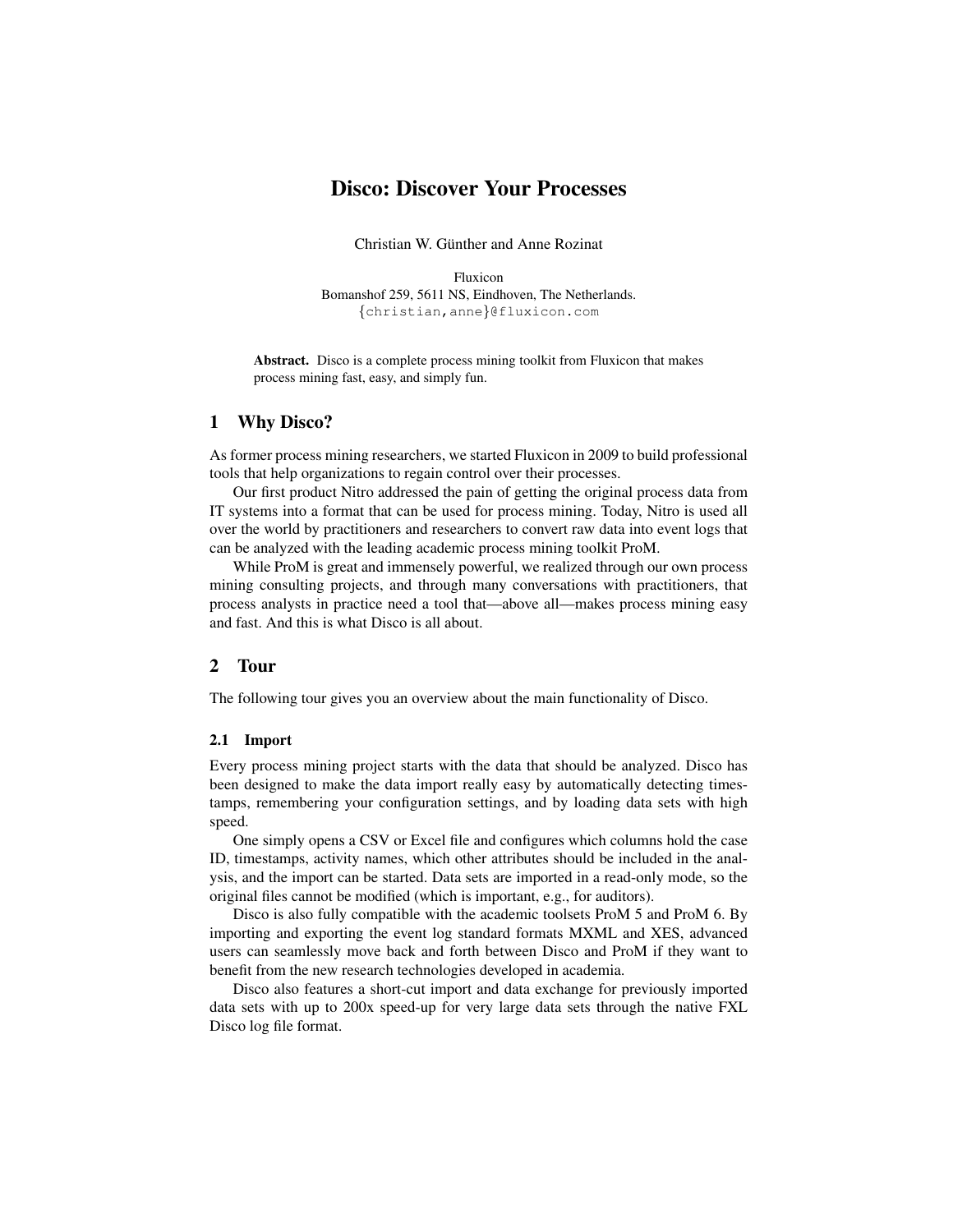# Disco: Discover Your Processes

Christian W. Günther and Anne Rozinat

Fluxicon Bomanshof 259, 5611 NS, Eindhoven, The Netherlands. {christian,anne}@fluxicon.com

Abstract. Disco is a complete process mining toolkit from Fluxicon that makes process mining fast, easy, and simply fun.

## 1 Why Disco?

As former process mining researchers, we started Fluxicon in 2009 to build professional tools that help organizations to regain control over their processes.

Our first product Nitro addressed the pain of getting the original process data from IT systems into a format that can be used for process mining. Today, Nitro is used all over the world by practitioners and researchers to convert raw data into event logs that can be analyzed with the leading academic process mining toolkit ProM.

While ProM is great and immensely powerful, we realized through our own process mining consulting projects, and through many conversations with practitioners, that process analysts in practice need a tool that—above all—makes process mining easy and fast. And this is what Disco is all about.

## 2 Tour

The following tour gives you an overview about the main functionality of Disco.

#### 2.1 Import

Every process mining project starts with the data that should be analyzed. Disco has been designed to make the data import really easy by automatically detecting timestamps, remembering your configuration settings, and by loading data sets with high speed.

One simply opens a CSV or Excel file and configures which columns hold the case ID, timestamps, activity names, which other attributes should be included in the analysis, and the import can be started. Data sets are imported in a read-only mode, so the original files cannot be modified (which is important, e.g., for auditors).

Disco is also fully compatible with the academic toolsets ProM 5 and ProM 6. By importing and exporting the event log standard formats MXML and XES, advanced users can seamlessly move back and forth between Disco and ProM if they want to benefit from the new research technologies developed in academia.

Disco also features a short-cut import and data exchange for previously imported data sets with up to 200x speed-up for very large data sets through the native FXL Disco log file format.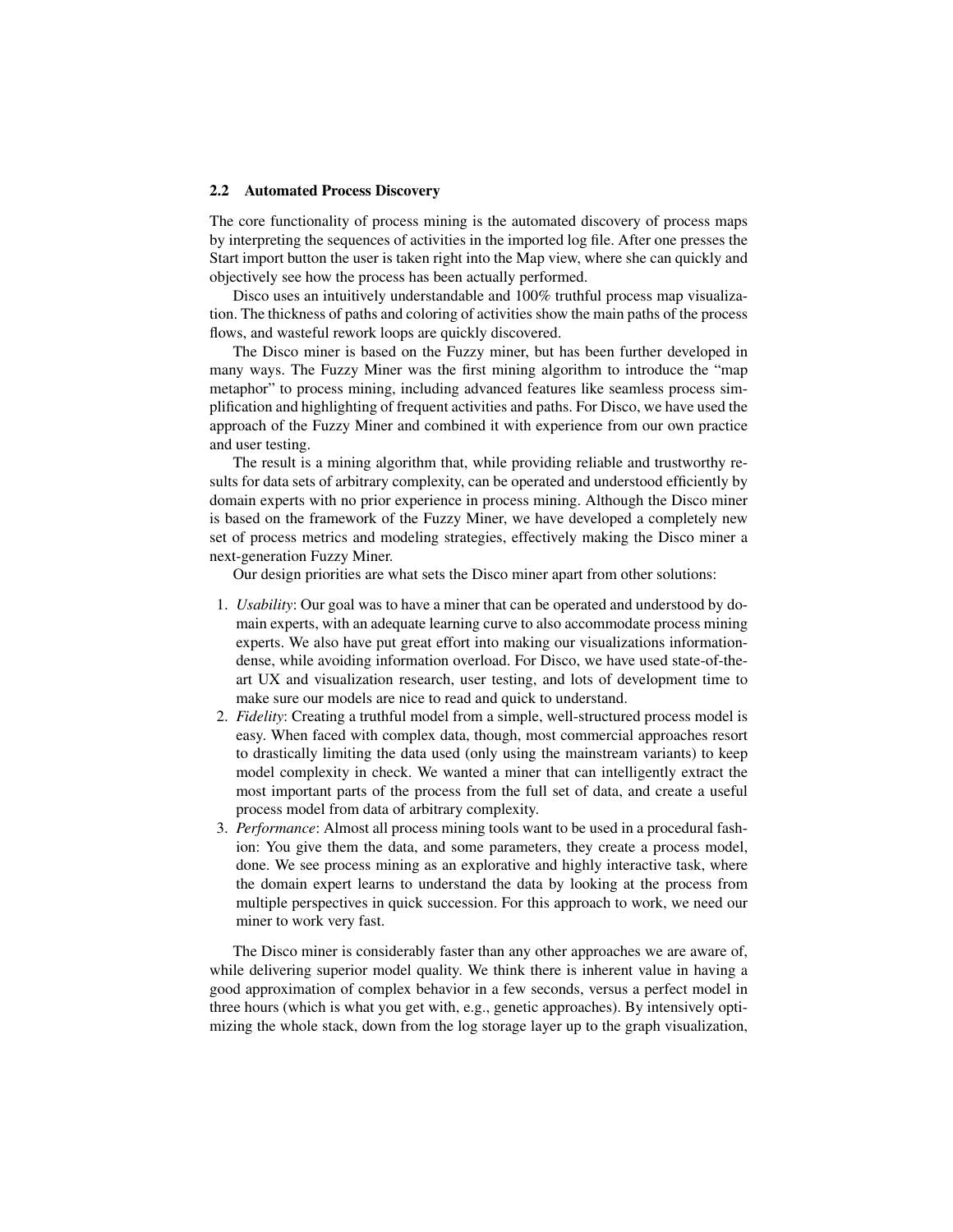#### 2.2 Automated Process Discovery

The core functionality of process mining is the automated discovery of process maps by interpreting the sequences of activities in the imported log file. After one presses the Start import button the user is taken right into the Map view, where she can quickly and objectively see how the process has been actually performed.

Disco uses an intuitively understandable and 100% truthful process map visualization. The thickness of paths and coloring of activities show the main paths of the process flows, and wasteful rework loops are quickly discovered.

The Disco miner is based on the Fuzzy miner, but has been further developed in many ways. The Fuzzy Miner was the first mining algorithm to introduce the "map metaphor" to process mining, including advanced features like seamless process simplification and highlighting of frequent activities and paths. For Disco, we have used the approach of the Fuzzy Miner and combined it with experience from our own practice and user testing.

The result is a mining algorithm that, while providing reliable and trustworthy results for data sets of arbitrary complexity, can be operated and understood efficiently by domain experts with no prior experience in process mining. Although the Disco miner is based on the framework of the Fuzzy Miner, we have developed a completely new set of process metrics and modeling strategies, effectively making the Disco miner a next-generation Fuzzy Miner.

Our design priorities are what sets the Disco miner apart from other solutions:

- 1. *Usability*: Our goal was to have a miner that can be operated and understood by domain experts, with an adequate learning curve to also accommodate process mining experts. We also have put great effort into making our visualizations informationdense, while avoiding information overload. For Disco, we have used state-of-theart UX and visualization research, user testing, and lots of development time to make sure our models are nice to read and quick to understand.
- 2. *Fidelity*: Creating a truthful model from a simple, well-structured process model is easy. When faced with complex data, though, most commercial approaches resort to drastically limiting the data used (only using the mainstream variants) to keep model complexity in check. We wanted a miner that can intelligently extract the most important parts of the process from the full set of data, and create a useful process model from data of arbitrary complexity.
- 3. *Performance*: Almost all process mining tools want to be used in a procedural fashion: You give them the data, and some parameters, they create a process model, done. We see process mining as an explorative and highly interactive task, where the domain expert learns to understand the data by looking at the process from multiple perspectives in quick succession. For this approach to work, we need our miner to work very fast.

The Disco miner is considerably faster than any other approaches we are aware of, while delivering superior model quality. We think there is inherent value in having a good approximation of complex behavior in a few seconds, versus a perfect model in three hours (which is what you get with, e.g., genetic approaches). By intensively optimizing the whole stack, down from the log storage layer up to the graph visualization,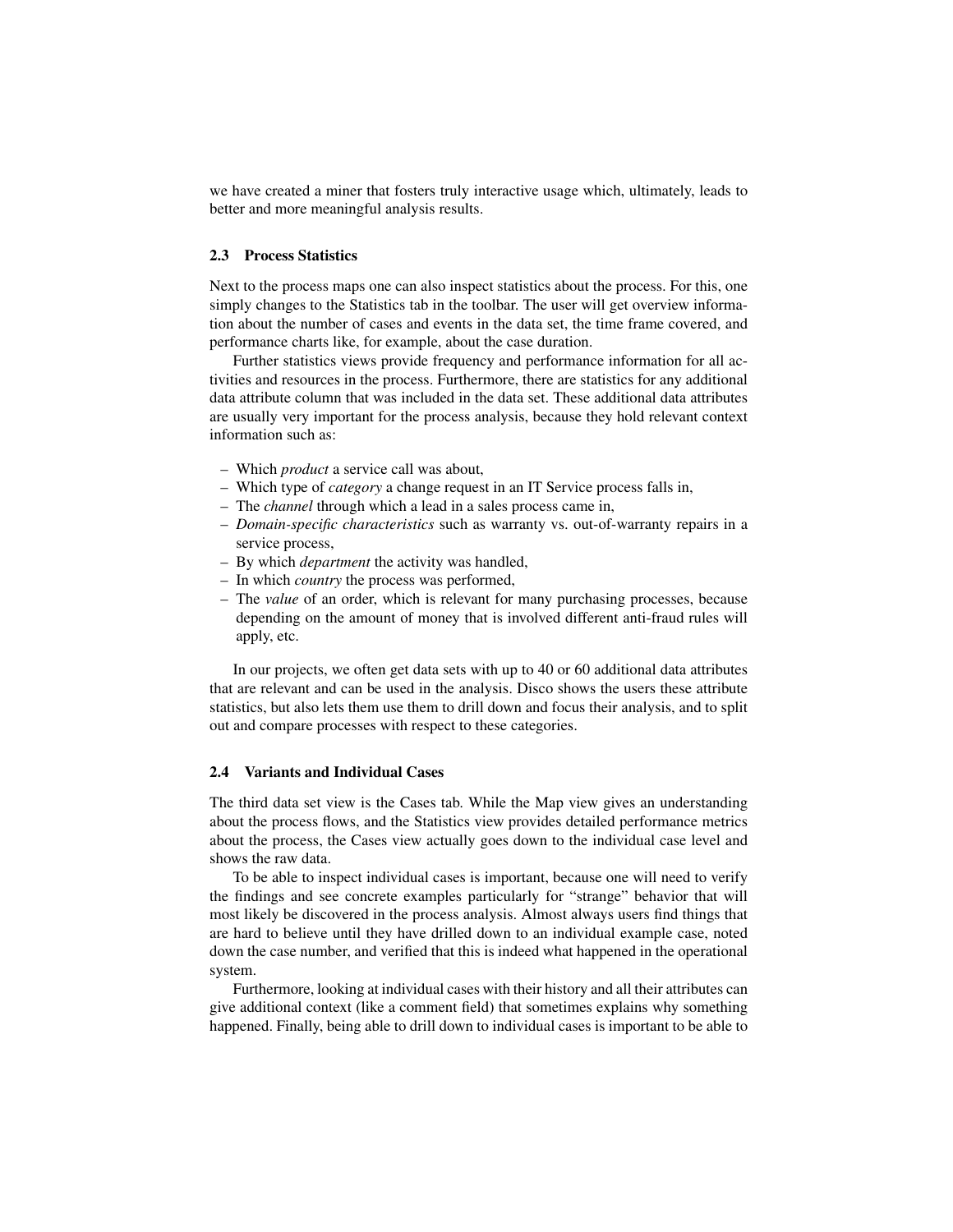we have created a miner that fosters truly interactive usage which, ultimately, leads to better and more meaningful analysis results.

## 2.3 Process Statistics

Next to the process maps one can also inspect statistics about the process. For this, one simply changes to the Statistics tab in the toolbar. The user will get overview information about the number of cases and events in the data set, the time frame covered, and performance charts like, for example, about the case duration.

Further statistics views provide frequency and performance information for all activities and resources in the process. Furthermore, there are statistics for any additional data attribute column that was included in the data set. These additional data attributes are usually very important for the process analysis, because they hold relevant context information such as:

- Which *product* a service call was about,
- Which type of *category* a change request in an IT Service process falls in,
- The *channel* through which a lead in a sales process came in,
- *Domain-specific characteristics* such as warranty vs. out-of-warranty repairs in a service process,
- By which *department* the activity was handled,
- In which *country* the process was performed,
- The *value* of an order, which is relevant for many purchasing processes, because depending on the amount of money that is involved different anti-fraud rules will apply, etc.

In our projects, we often get data sets with up to 40 or 60 additional data attributes that are relevant and can be used in the analysis. Disco shows the users these attribute statistics, but also lets them use them to drill down and focus their analysis, and to split out and compare processes with respect to these categories.

#### 2.4 Variants and Individual Cases

The third data set view is the Cases tab. While the Map view gives an understanding about the process flows, and the Statistics view provides detailed performance metrics about the process, the Cases view actually goes down to the individual case level and shows the raw data.

To be able to inspect individual cases is important, because one will need to verify the findings and see concrete examples particularly for "strange" behavior that will most likely be discovered in the process analysis. Almost always users find things that are hard to believe until they have drilled down to an individual example case, noted down the case number, and verified that this is indeed what happened in the operational system.

Furthermore, looking at individual cases with their history and all their attributes can give additional context (like a comment field) that sometimes explains why something happened. Finally, being able to drill down to individual cases is important to be able to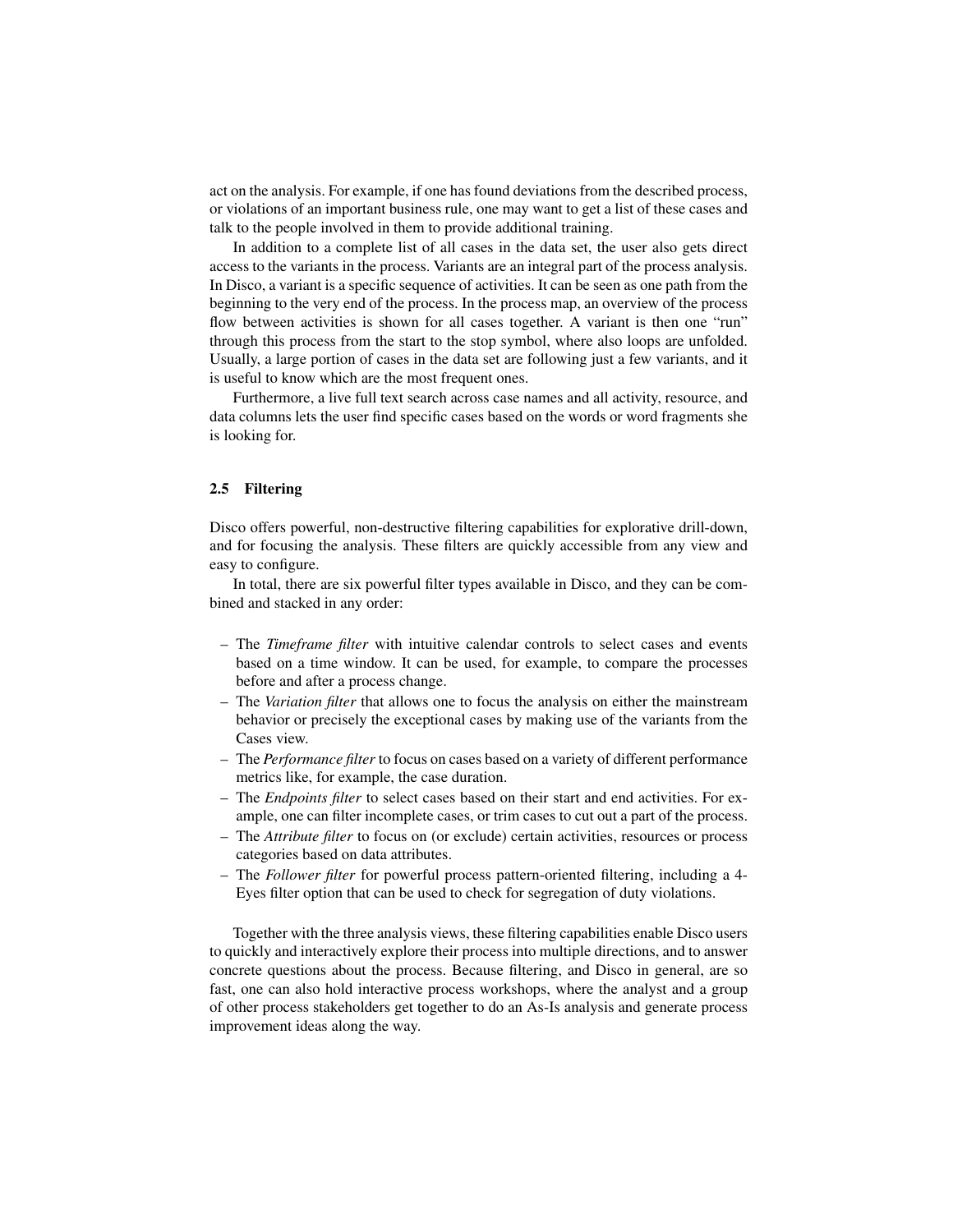act on the analysis. For example, if one has found deviations from the described process, or violations of an important business rule, one may want to get a list of these cases and talk to the people involved in them to provide additional training.

In addition to a complete list of all cases in the data set, the user also gets direct access to the variants in the process. Variants are an integral part of the process analysis. In Disco, a variant is a specific sequence of activities. It can be seen as one path from the beginning to the very end of the process. In the process map, an overview of the process flow between activities is shown for all cases together. A variant is then one "run" through this process from the start to the stop symbol, where also loops are unfolded. Usually, a large portion of cases in the data set are following just a few variants, and it is useful to know which are the most frequent ones.

Furthermore, a live full text search across case names and all activity, resource, and data columns lets the user find specific cases based on the words or word fragments she is looking for.

### 2.5 Filtering

Disco offers powerful, non-destructive filtering capabilities for explorative drill-down, and for focusing the analysis. These filters are quickly accessible from any view and easy to configure.

In total, there are six powerful filter types available in Disco, and they can be combined and stacked in any order:

- The *Timeframe filter* with intuitive calendar controls to select cases and events based on a time window. It can be used, for example, to compare the processes before and after a process change.
- The *Variation filter* that allows one to focus the analysis on either the mainstream behavior or precisely the exceptional cases by making use of the variants from the Cases view.
- The *Performance filter* to focus on cases based on a variety of different performance metrics like, for example, the case duration.
- The *Endpoints filter* to select cases based on their start and end activities. For example, one can filter incomplete cases, or trim cases to cut out a part of the process.
- The *Attribute filter* to focus on (or exclude) certain activities, resources or process categories based on data attributes.
- The *Follower filter* for powerful process pattern-oriented filtering, including a 4- Eyes filter option that can be used to check for segregation of duty violations.

Together with the three analysis views, these filtering capabilities enable Disco users to quickly and interactively explore their process into multiple directions, and to answer concrete questions about the process. Because filtering, and Disco in general, are so fast, one can also hold interactive process workshops, where the analyst and a group of other process stakeholders get together to do an As-Is analysis and generate process improvement ideas along the way.